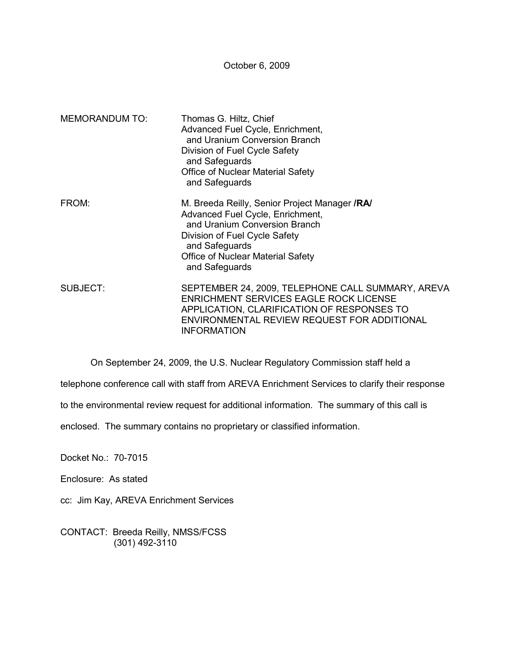October 6, 2009

| <b>MEMORANDUM TO:</b> | Thomas G. Hiltz, Chief<br>Advanced Fuel Cycle, Enrichment,<br>and Uranium Conversion Branch<br>Division of Fuel Cycle Safety<br>and Safeguards<br>Office of Nuclear Material Safety<br>and Safeguards                               |
|-----------------------|-------------------------------------------------------------------------------------------------------------------------------------------------------------------------------------------------------------------------------------|
| FROM:                 | M. Breeda Reilly, Senior Project Manager /RA/<br>Advanced Fuel Cycle, Enrichment,<br>and Uranium Conversion Branch<br>Division of Fuel Cycle Safety<br>and Safeguards<br><b>Office of Nuclear Material Safety</b><br>and Safeguards |
| SUBJECT:              | SEPTEMBER 24, 2009, TELEPHONE CALL SUMMARY, AREVA<br><b>ENRICHMENT SERVICES EAGLE ROCK LICENSE</b><br>APPLICATION, CLARIFICATION OF RESPONSES TO<br>ENVIRONMENTAL REVIEW REQUEST FOR ADDITIONAL<br><b>INFORMATION</b>               |

On September 24, 2009, the U.S. Nuclear Regulatory Commission staff held a

telephone conference call with staff from AREVA Enrichment Services to clarify their response

to the environmental review request for additional information. The summary of this call is

enclosed. The summary contains no proprietary or classified information.

Docket No.: 70-7015

Enclosure: As stated

cc: Jim Kay, AREVA Enrichment Services

CONTACT: Breeda Reilly, NMSS/FCSS (301) 492-3110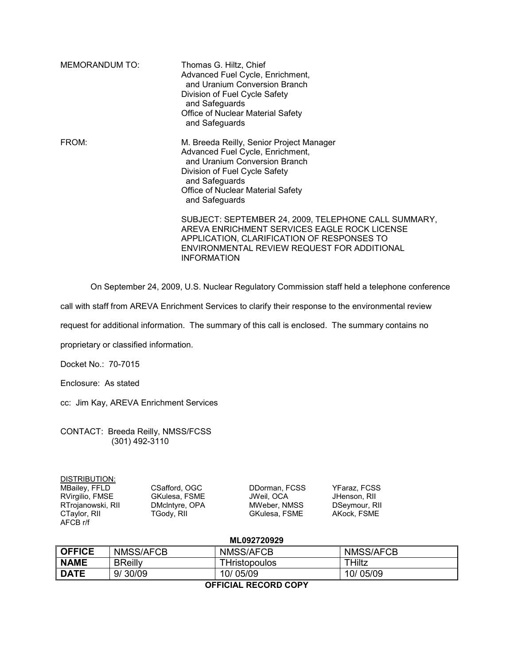| <b>MEMORANDUM TO:</b> | Thomas G. Hiltz, Chief<br>Advanced Fuel Cycle, Enrichment,<br>and Uranium Conversion Branch<br>Division of Fuel Cycle Safety<br>and Safeguards<br>Office of Nuclear Material Safety<br>and Safeguards                   |
|-----------------------|-------------------------------------------------------------------------------------------------------------------------------------------------------------------------------------------------------------------------|
| FROM:                 | M. Breeda Reilly, Senior Project Manager<br>Advanced Fuel Cycle, Enrichment,<br>and Uranium Conversion Branch<br>Division of Fuel Cycle Safety<br>and Safeguards<br>Office of Nuclear Material Safety<br>and Safeguards |
|                       | SUBJECT: SEPTEMBER 24, 2009, TELEPHONE CALL SUMMARY,<br>AREVA ENRICHMENT SERVICES EAGLE ROCK LICENSE<br>APPLICATION, CLARIFICATION OF RESPONSES TO<br>ENVIRONMENTAL REVIEW REQUEST FOR ADDITIONAL<br><b>INFORMATION</b> |

On September 24, 2009, U.S. Nuclear Regulatory Commission staff held a telephone conference

call with staff from AREVA Enrichment Services to clarify their response to the environmental review

request for additional information. The summary of this call is enclosed. The summary contains no

proprietary or classified information.

Docket No.: 70-7015

Enclosure: As stated

cc: Jim Kay, AREVA Enrichment Services

CONTACT: Breeda Reilly, NMSS/FCSS (301) 492-3110

| DISTRIBUTION:     |                      |                      |                     |
|-------------------|----------------------|----------------------|---------------------|
| MBailey, FFLD     | CSafford, OGC        | DDorman, FCSS        | <b>YFaraz, FCSS</b> |
| RVirgilio, FMSE   | <b>GKulesa, FSME</b> | JWeil. OCA           | JHenson, RII        |
| RTrojanowski, RII | DMcIntyre, OPA       | MWeber, NMSS         | DSeymour, RII       |
| CTaylor, RII      | TGody, RII           | <b>GKulesa, FSME</b> | AKock, FSME         |
| AFCB r/f          |                      |                      |                     |

## **ML092720929**

| <b>OFFICE</b>        | NMSS/AFCB      | NMSS/AFCB     | <b>NMSS/AFCB</b> |  |
|----------------------|----------------|---------------|------------------|--|
| I NAME               | <b>BReilly</b> | THristopoulos | THiltz           |  |
| DATE                 | 9/30/09        | 10/05/09      | 10/05/09         |  |
| -------- ------ ---- |                |               |                  |  |

**OFFICIAL RECORD COPY**